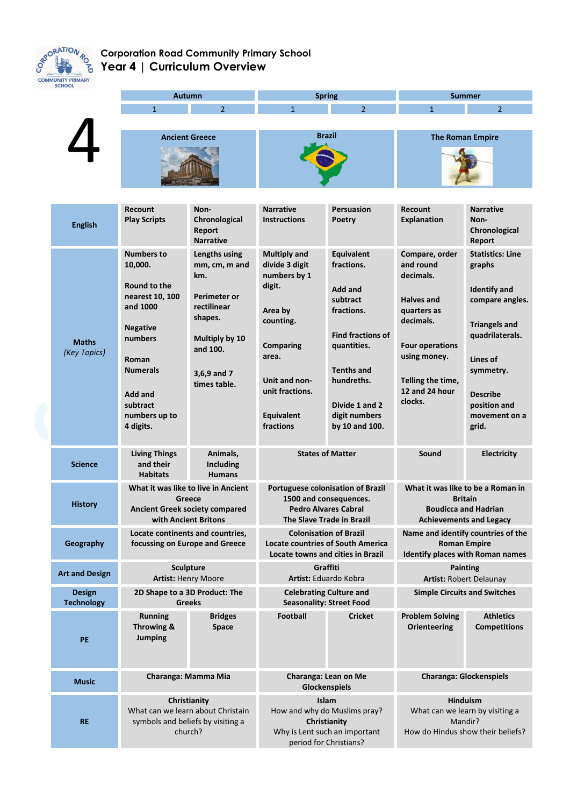

## **Corporation Road Community Primary School Year 4 | Curriculum Overview**

| <b>CHOOL</b>                 | <b>Autumn</b>                                                                                                                                                                              |                                                                                                                                                     | <b>Spring</b>                                                                                                                                                                       |                                                                                                                                                                                                         | <b>Summer</b>                                                                                                                                                                         |                                                                                                                                                                                                              |
|------------------------------|--------------------------------------------------------------------------------------------------------------------------------------------------------------------------------------------|-----------------------------------------------------------------------------------------------------------------------------------------------------|-------------------------------------------------------------------------------------------------------------------------------------------------------------------------------------|---------------------------------------------------------------------------------------------------------------------------------------------------------------------------------------------------------|---------------------------------------------------------------------------------------------------------------------------------------------------------------------------------------|--------------------------------------------------------------------------------------------------------------------------------------------------------------------------------------------------------------|
|                              | $\mathbf{1}$                                                                                                                                                                               | $\overline{2}$                                                                                                                                      | $\overline{1}$                                                                                                                                                                      | $\overline{2}$                                                                                                                                                                                          | $\mathbf{1}$                                                                                                                                                                          | $\overline{2}$                                                                                                                                                                                               |
|                              |                                                                                                                                                                                            |                                                                                                                                                     |                                                                                                                                                                                     |                                                                                                                                                                                                         |                                                                                                                                                                                       |                                                                                                                                                                                                              |
|                              | <b>Ancient Greece</b>                                                                                                                                                                      |                                                                                                                                                     | Brazil                                                                                                                                                                              |                                                                                                                                                                                                         | <b>The Roman Empire</b>                                                                                                                                                               |                                                                                                                                                                                                              |
| <b>English</b>               | <b>Recount</b><br><b>Play Scripts</b>                                                                                                                                                      | Non-<br>Chronological<br>Report<br><b>Narrative</b>                                                                                                 | <b>Narrative</b><br><b>Instructions</b>                                                                                                                                             | <b>Persuasion</b><br>Poetry                                                                                                                                                                             | Recount<br><b>Explanation</b>                                                                                                                                                         | <b>Narrative</b><br>Non-<br>Chronological<br>Report                                                                                                                                                          |
| <b>Maths</b><br>(Key Topics) | <b>Numbers to</b><br>10,000.<br>Round to the<br>nearest 10, 100<br>and 1000<br><b>Negative</b><br>numbers<br>Roman<br><b>Numerals</b><br>Add and<br>subtract<br>numbers up to<br>4 digits. | Lengths using<br>mm, cm, m and<br>km.<br><b>Perimeter or</b><br>rectilinear<br>shapes.<br>Multiply by 10<br>and 100.<br>3,6,9 and 7<br>times table. | <b>Multiply and</b><br>divide 3 digit<br>numbers by 1<br>digit.<br>Area by<br>counting.<br><b>Comparing</b><br>area.<br>Unit and non-<br>unit fractions.<br>Equivalent<br>fractions | <b>Equivalent</b><br>fractions.<br>Add and<br>subtract<br>fractions.<br><b>Find fractions of</b><br>quantities.<br><b>Tenths and</b><br>hundreths.<br>Divide 1 and 2<br>digit numbers<br>by 10 and 100. | Compare, order<br>and round<br>decimals.<br><b>Halves and</b><br>quarters as<br>decimals.<br><b>Four operations</b><br>using money.<br>Telling the time,<br>12 and 24 hour<br>clocks. | <b>Statistics: Line</b><br>graphs<br><b>Identify and</b><br>compare angles.<br><b>Triangels and</b><br>quadrilaterals.<br>Lines of<br>symmetry.<br><b>Describe</b><br>position and<br>movement on a<br>grid. |
| <b>Science</b>               | <b>Living Things</b><br>and their<br><b>Habitats</b>                                                                                                                                       | Animals,<br>Including<br><b>Humans</b>                                                                                                              | <b>States of Matter</b>                                                                                                                                                             |                                                                                                                                                                                                         | Sound                                                                                                                                                                                 | <b>Electricity</b>                                                                                                                                                                                           |
| <b>History</b>               | What it was like to live in Ancient<br>Greece<br><b>Ancient Greek society compared</b><br>with Ancient Britons                                                                             |                                                                                                                                                     | <b>Portuguese colonisation of Brazil</b><br>1500 and consequences.<br><b>Pedro Alvares Cabral</b><br>The Slave Trade in Brazil                                                      |                                                                                                                                                                                                         | What it was like to be a Roman in<br><b>Britain</b><br><b>Boudicca and Hadrian</b><br><b>Achievements and Legacy</b>                                                                  |                                                                                                                                                                                                              |
| Geography                    | Locate continents and countries,<br>focussing on Europe and Greece                                                                                                                         |                                                                                                                                                     | <b>Colonisation of Brazil</b><br><b>Locate countries of South America</b><br>Locate towns and cities in Brazil                                                                      |                                                                                                                                                                                                         | Name and identify countries of the<br><b>Roman Empire</b><br><b>Identify places with Roman names</b>                                                                                  |                                                                                                                                                                                                              |
| <b>Art and Design</b>        | <b>Sculpture</b><br><b>Artist: Henry Moore</b>                                                                                                                                             |                                                                                                                                                     | Graffiti<br>Artist: Eduardo Kobra                                                                                                                                                   |                                                                                                                                                                                                         | <b>Painting</b><br><b>Artist: Robert Delaunay</b>                                                                                                                                     |                                                                                                                                                                                                              |
| Design<br><b>Technology</b>  | 2D Shape to a 3D Product: The<br><b>Greeks</b>                                                                                                                                             |                                                                                                                                                     | <b>Celebrating Culture and</b><br><b>Seasonality: Street Food</b>                                                                                                                   |                                                                                                                                                                                                         | <b>Simple Circuits and Switches</b>                                                                                                                                                   |                                                                                                                                                                                                              |
| PE                           | <b>Running</b><br>Throwing &<br>Jumping                                                                                                                                                    | <b>Bridges</b><br>Space                                                                                                                             | <b>Football</b>                                                                                                                                                                     | <b>Cricket</b>                                                                                                                                                                                          | <b>Problem Solving</b><br><b>Orienteering</b>                                                                                                                                         | <b>Athletics</b><br><b>Competitions</b>                                                                                                                                                                      |
| <b>Music</b>                 | Charanga: Mamma Mia                                                                                                                                                                        |                                                                                                                                                     | Charanga: Lean on Me<br><b>Glockenspiels</b>                                                                                                                                        |                                                                                                                                                                                                         | <b>Charanga: Glockenspiels</b>                                                                                                                                                        |                                                                                                                                                                                                              |
| <b>RE</b>                    | Christianity<br>What can we learn about Christain<br>symbols and beliefs by visiting a<br>church?                                                                                          |                                                                                                                                                     | <b>Islam</b><br>How and why do Muslims pray?<br>Christianity<br>Why is Lent such an important<br>period for Christians?                                                             |                                                                                                                                                                                                         | <b>Hinduism</b><br>What can we learn by visiting a<br>Mandir?<br>How do Hindus show their beliefs?                                                                                    |                                                                                                                                                                                                              |